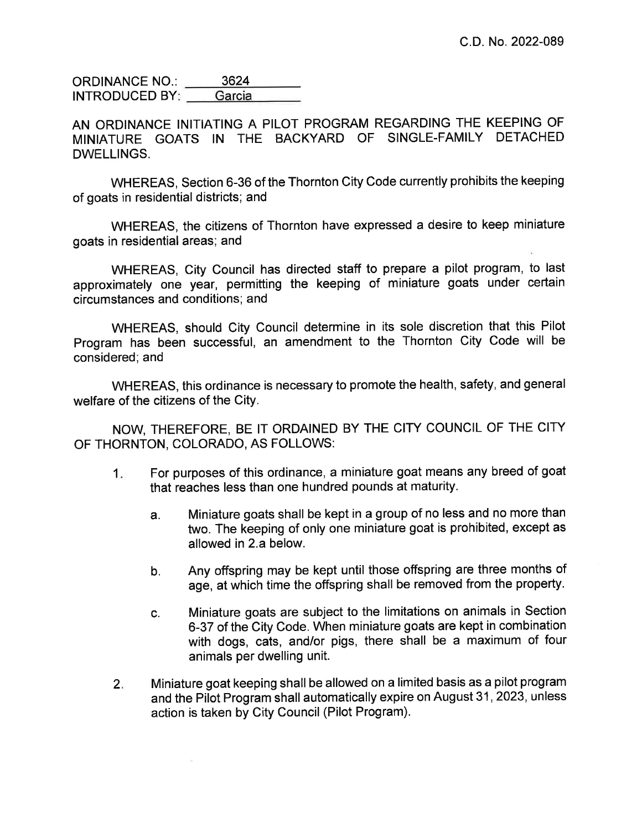3624 **ORDINANCE NO.:** Garcia **INTRODUCED BY:** 

AN ORDINANCE INITIATING A PILOT PROGRAM REGARDING THE KEEPING OF MINIATURE GOATS IN THE BACKYARD OF SINGLE-FAMILY DETACHED **DWELLINGS.** 

WHEREAS, Section 6-36 of the Thornton City Code currently prohibits the keeping of goats in residential districts; and

WHEREAS, the citizens of Thornton have expressed a desire to keep miniature goats in residential areas; and

WHEREAS, City Council has directed staff to prepare a pilot program, to last approximately one year, permitting the keeping of miniature goats under certain circumstances and conditions; and

WHEREAS, should City Council determine in its sole discretion that this Pilot Program has been successful, an amendment to the Thornton City Code will be considered: and

WHEREAS, this ordinance is necessary to promote the health, safety, and general welfare of the citizens of the City.

NOW, THEREFORE, BE IT ORDAINED BY THE CITY COUNCIL OF THE CITY OF THORNTON, COLORADO, AS FOLLOWS:

- For purposes of this ordinance, a miniature goat means any breed of goat  $1.$ that reaches less than one hundred pounds at maturity.
	- Miniature goats shall be kept in a group of no less and no more than a. two. The keeping of only one miniature goat is prohibited, except as allowed in 2.a below.
	- Any offspring may be kept until those offspring are three months of b. age, at which time the offspring shall be removed from the property.
	- Miniature goats are subject to the limitations on animals in Section C. 6-37 of the City Code. When miniature goats are kept in combination with dogs, cats, and/or pigs, there shall be a maximum of four animals per dwelling unit.
- Miniature goat keeping shall be allowed on a limited basis as a pilot program  $2.$ and the Pilot Program shall automatically expire on August 31, 2023, unless action is taken by City Council (Pilot Program).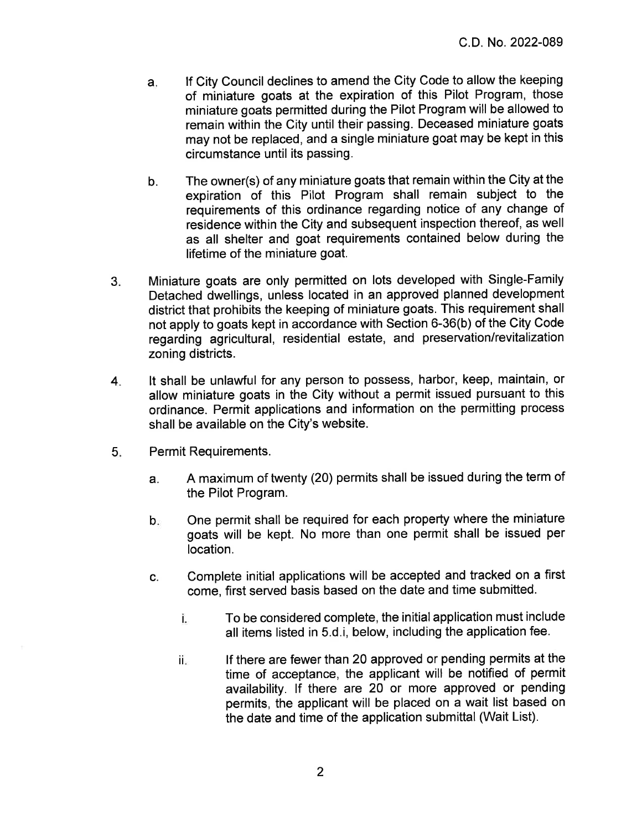- If City Council declines to amend the City Code to allow the keeping a. of miniature goats at the expiration of this Pilot Program, those miniature goats permitted during the Pilot Program will be allowed to remain within the City until their passing. Deceased miniature goats may not be replaced, and a single miniature goat may be kept in this circumstance until its passing.
- The owner(s) of any miniature goats that remain within the City at the b. expiration of this Pilot Program shall remain subject to the requirements of this ordinance regarding notice of any change of residence within the City and subsequent inspection thereof, as well as all shelter and goat requirements contained below during the lifetime of the miniature goat.
- Miniature goats are only permitted on lots developed with Single-Family  $3.$ Detached dwellings, unless located in an approved planned development district that prohibits the keeping of miniature goats. This requirement shall not apply to goats kept in accordance with Section 6-36(b) of the City Code regarding agricultural, residential estate, and preservation/revitalization zoning districts.
- It shall be unlawful for any person to possess, harbor, keep, maintain, or 4. allow miniature goats in the City without a permit issued pursuant to this ordinance. Permit applications and information on the permitting process shall be available on the City's website.
- $5.$ Permit Requirements.
	- A maximum of twenty (20) permits shall be issued during the term of a. the Pilot Program.
	- One permit shall be required for each property where the miniature  $b_{\rm m}$ goats will be kept. No more than one permit shall be issued per location.
	- Complete initial applications will be accepted and tracked on a first C. come, first served basis based on the date and time submitted.
		- To be considered complete, the initial application must include i. all items listed in 5.d.i, below, including the application fee.
		- If there are fewer than 20 approved or pending permits at the iï. time of acceptance, the applicant will be notified of permit availability. If there are 20 or more approved or pending permits, the applicant will be placed on a wait list based on the date and time of the application submittal (Wait List).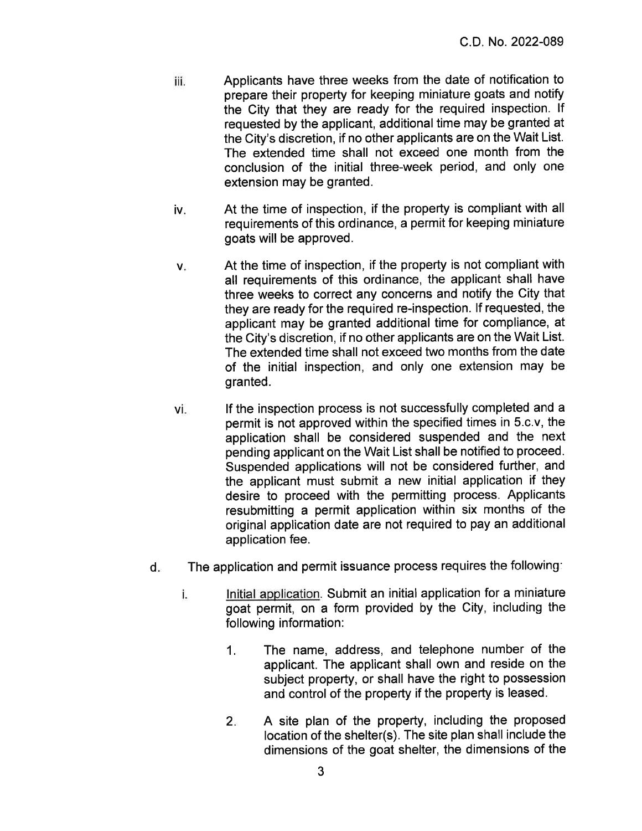- Applicants have three weeks from the date of notification to iii. prepare their property for keeping miniature goats and notify the City that they are ready for the required inspection. If requested by the applicant, additional time may be granted at the City's discretion, if no other applicants are on the Wait List. The extended time shall not exceed one month from the conclusion of the initial three-week period, and only one extension may be granted.
- iv. At the time of inspection, if the property is compliant with all requirements of this ordinance, a permit for keeping miniature goats will be approved.
- At the time of inspection, if the property is not compliant with  $V_{\pm}$ all requirements of this ordinance, the applicant shall have three weeks to correct any concerns and notify the City that they are ready for the required re-inspection. If requested, the applicant may be granted additional time for compliance, at the City's discretion, if no other applicants are on the Wait List. The extended time shall not exceed two months from the date of the initial inspection, and only one extension may be granted.
- If the inspection process is not successfully completed and a vi. permit is not approved within the specified times in 5.c.v, the application shall be considered suspended and the next pending applicant on the Wait List shall be notified to proceed. Suspended applications will not be considered further, and the applicant must submit a new initial application if they desire to proceed with the permitting process. Applicants resubmitting a permit application within six months of the original application date are not required to pay an additional application fee.
- The application and permit issuance process requires the following: d.
	- Initial application. Submit an initial application for a miniature i. goat permit, on a form provided by the City, including the following information:
		- $1.$ The name, address, and telephone number of the applicant. The applicant shall own and reside on the subject property, or shall have the right to possession and control of the property if the property is leased.
		- $2.5$ A site plan of the property, including the proposed location of the shelter(s). The site plan shall include the dimensions of the goat shelter, the dimensions of the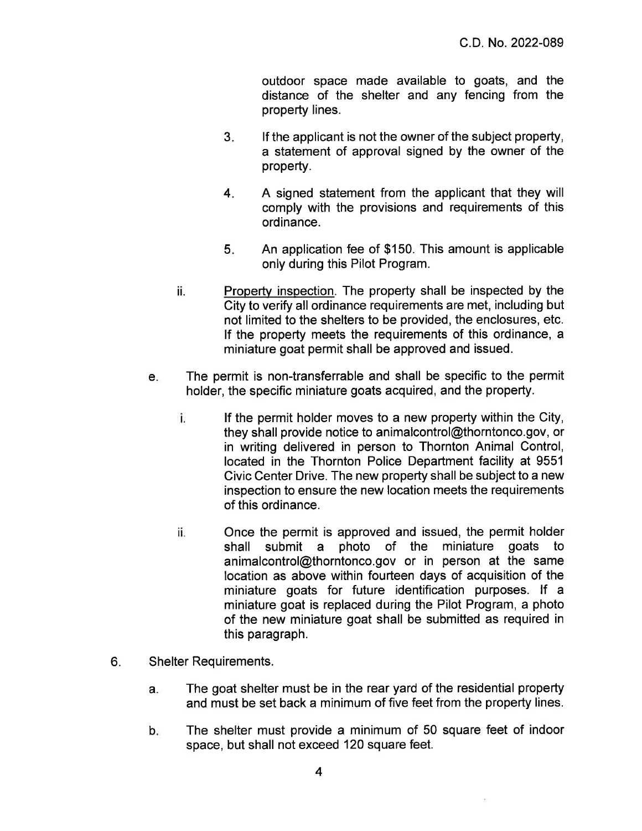outdoor space made available to goats, and the distance of the shelter and any fencing from the property lines.

- $3<sub>1</sub>$ If the applicant is not the owner of the subject property. a statement of approval signed by the owner of the property.
- $4.$ A signed statement from the applicant that they will comply with the provisions and requirements of this ordinance.
- $5<sub>1</sub>$ An application fee of \$150. This amount is applicable only during this Pilot Program.
- ii. Property inspection. The property shall be inspected by the City to verify all ordinance requirements are met, including but not limited to the shelters to be provided, the enclosures, etc. If the property meets the requirements of this ordinance, a miniature goat permit shall be approved and issued.
- The permit is non-transferrable and shall be specific to the permit  $e_{\cdot}$ holder, the specific miniature goats acquired, and the property.
	- i. If the permit holder moves to a new property within the City. they shall provide notice to animalcontrol@thorntonco.gov, or in writing delivered in person to Thornton Animal Control, located in the Thornton Police Department facility at 9551 Civic Center Drive. The new property shall be subject to a new inspection to ensure the new location meets the requirements of this ordinance.
	- Once the permit is approved and issued, the permit holder ii. submit a photo of the miniature goats shall animalcontrol@thorntonco.gov or in person at the same location as above within fourteen days of acquisition of the miniature goats for future identification purposes. If a miniature goat is replaced during the Pilot Program, a photo of the new miniature goat shall be submitted as required in this paragraph.
- 6. **Shelter Requirements.** 
	- The goat shelter must be in the rear yard of the residential property  $a_{\cdot}$ and must be set back a minimum of five feet from the property lines.
	- $b.$ The shelter must provide a minimum of 50 square feet of indoor space, but shall not exceed 120 square feet.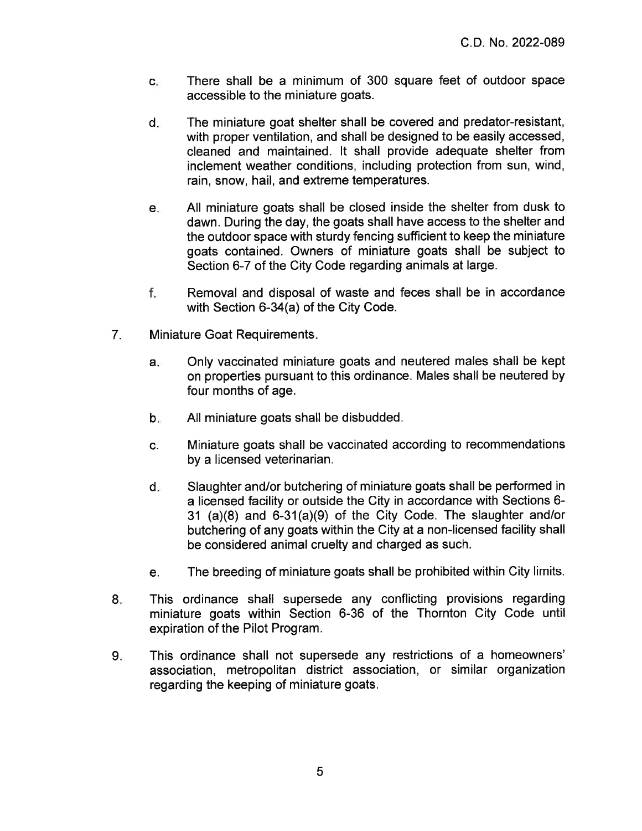- There shall be a minimum of 300 square feet of outdoor space  $\mathbf{C}$ accessible to the miniature goats.
- d. The miniature goat shelter shall be covered and predator-resistant, with proper ventilation, and shall be designed to be easily accessed, cleaned and maintained. It shall provide adequate shelter from inclement weather conditions, including protection from sun, wind, rain, snow, hail, and extreme temperatures.
- All miniature goats shall be closed inside the shelter from dusk to  $e_{\alpha}$ dawn. During the day, the goats shall have access to the shelter and the outdoor space with sturdy fencing sufficient to keep the miniature goats contained. Owners of miniature goats shall be subject to Section 6-7 of the City Code regarding animals at large.
- f. Removal and disposal of waste and feces shall be in accordance with Section 6-34(a) of the City Code.
- $7<sub>1</sub>$ Miniature Goat Requirements.
	- Only vaccinated miniature goats and neutered males shall be kept  $a_{\nu}$ on properties pursuant to this ordinance. Males shall be neutered by four months of age.
	- $b_{n}$ All miniature goats shall be disbudded.
	- Miniature goats shall be vaccinated according to recommendations C. by a licensed veterinarian.
	- Slaughter and/or butchering of miniature goats shall be performed in  $d_{\infty}$ a licensed facility or outside the City in accordance with Sections 6-31 (a)(8) and 6-31(a)(9) of the City Code. The slaughter and/or butchering of any goats within the City at a non-licensed facility shall be considered animal cruelty and charged as such.
	- The breeding of miniature goats shall be prohibited within City limits. e.
- This ordinance shall supersede any conflicting provisions regarding  $8.$ miniature goats within Section 6-36 of the Thornton City Code until expiration of the Pilot Program.
- This ordinance shall not supersede any restrictions of a homeowners' 9. association, metropolitan district association, or similar organization regarding the keeping of miniature goats.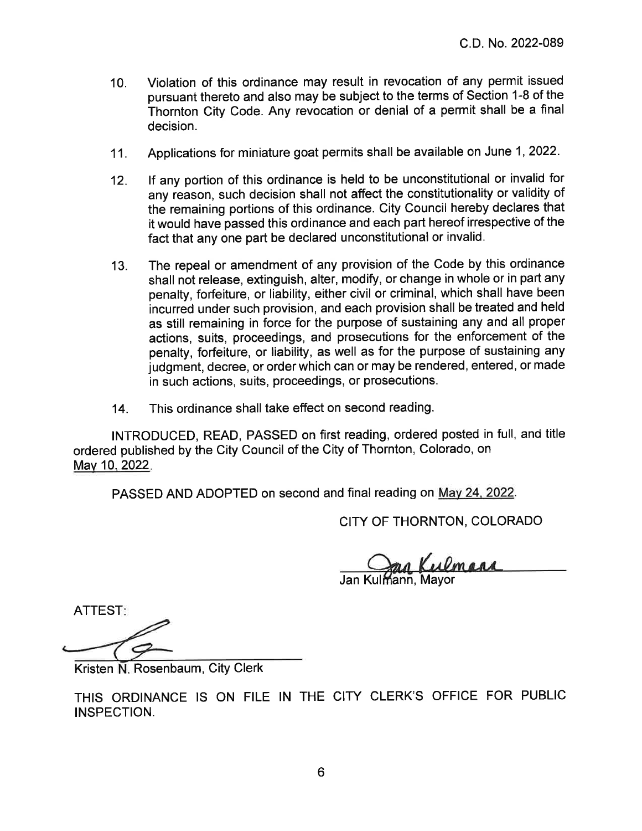- Violation of this ordinance may result in revocation of any permit issued  $10.$ pursuant thereto and also may be subject to the terms of Section 1-8 of the Thornton City Code. Any revocation or denial of a permit shall be a final decision.
- Applications for miniature goat permits shall be available on June 1, 2022.  $11.$
- If any portion of this ordinance is held to be unconstitutional or invalid for  $12.$ any reason, such decision shall not affect the constitutionality or validity of the remaining portions of this ordinance. City Council hereby declares that it would have passed this ordinance and each part hereof irrespective of the fact that any one part be declared unconstitutional or invalid.
- The repeal or amendment of any provision of the Code by this ordinance  $13.$ shall not release, extinguish, alter, modify, or change in whole or in part any penalty, forfeiture, or liability, either civil or criminal, which shall have been incurred under such provision, and each provision shall be treated and held as still remaining in force for the purpose of sustaining any and all proper actions, suits, proceedings, and prosecutions for the enforcement of the penalty, forfeiture, or liability, as well as for the purpose of sustaining any judgment, decree, or order which can or may be rendered, entered, or made in such actions, suits, proceedings, or prosecutions.
- This ordinance shall take effect on second reading. 14.

INTRODUCED, READ, PASSED on first reading, ordered posted in full, and title ordered published by the City Council of the City of Thornton, Colorado, on May 10, 2022.

PASSED AND ADOPTED on second and final reading on May 24, 2022.

CITY OF THORNTON, COLORADO

Jan Kulmana

ATTEST:

Kristen N. Rosenbaum, City Clerk

THIS ORDINANCE IS ON FILE IN THE CITY CLERK'S OFFICE FOR PUBLIC INSPECTION.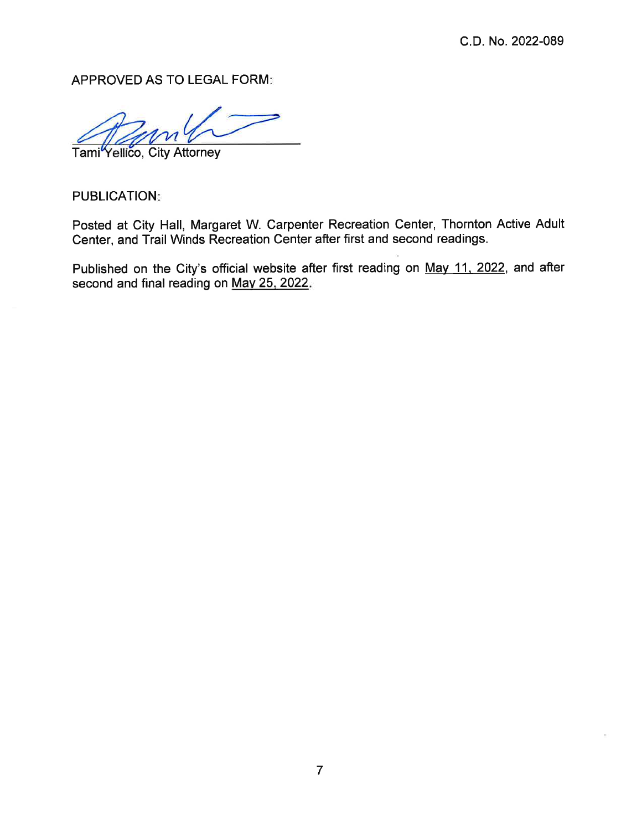APPROVED AS TO LEGAL FORM:

Tami<sup>Y</sup>ellico, City Attorney

**PUBLICATION:** 

Posted at City Hall, Margaret W. Carpenter Recreation Center, Thornton Active Adult Center, and Trail Winds Recreation Center after first and second readings.

Published on the City's official website after first reading on May 11, 2022, and after second and final reading on May 25, 2022.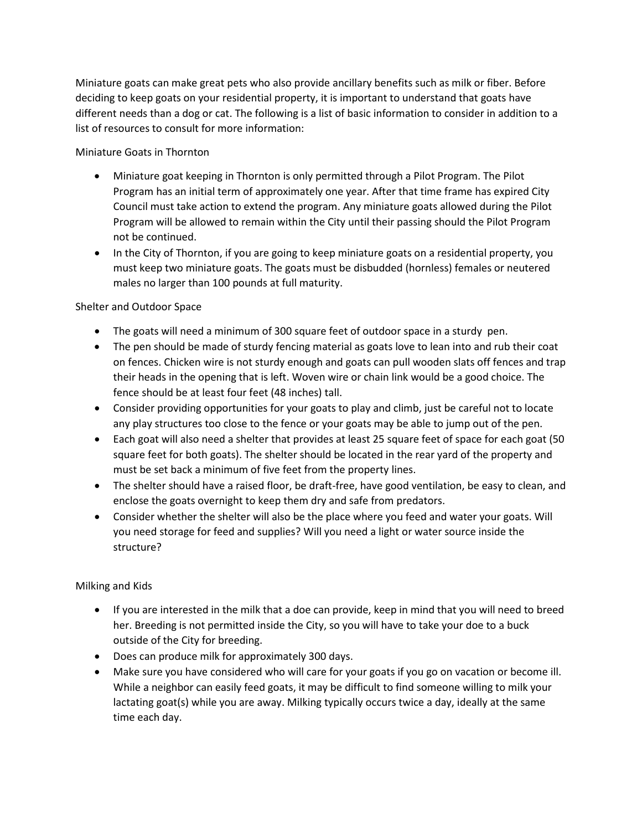Miniature goats can make great pets who also provide ancillary benefits such as milk or fiber. Before deciding to keep goats on your residential property, it is important to understand that goats have different needs than a dog or cat. The following is a list of basic information to consider in addition to a list of resources to consult for more information:

Miniature Goats in Thornton

- Miniature goat keeping in Thornton is only permitted through a Pilot Program. The Pilot Program has an initial term of approximately one year. After that time frame has expired City Council must take action to extend the program. Any miniature goats allowed during the Pilot Program will be allowed to remain within the City until their passing should the Pilot Program not be continued.
- In the City of Thornton, if you are going to keep miniature goats on a residential property, you must keep two miniature goats. The goats must be disbudded (hornless) females or neutered males no larger than 100 pounds at full maturity.

# Shelter and Outdoor Space

- The goats will need a minimum of 300 square feet of outdoor space in a sturdy pen.
- The pen should be made of sturdy fencing material as goats love to lean into and rub their coat on fences. Chicken wire is not sturdy enough and goats can pull wooden slats off fences and trap their heads in the opening that is left. Woven wire or chain link would be a good choice. The fence should be at least four feet (48 inches) tall.
- Consider providing opportunities for your goats to play and climb, just be careful not to locate any play structures too close to the fence or your goats may be able to jump out of the pen.
- Each goat will also need a shelter that provides at least 25 square feet of space for each goat (50 square feet for both goats). The shelter should be located in the rear yard of the property and must be set back a minimum of five feet from the property lines.
- The shelter should have a raised floor, be draft-free, have good ventilation, be easy to clean, and enclose the goats overnight to keep them dry and safe from predators.
- Consider whether the shelter will also be the place where you feed and water your goats. Will you need storage for feed and supplies? Will you need a light or water source inside the structure?

# Milking and Kids

- If you are interested in the milk that a doe can provide, keep in mind that you will need to breed her. Breeding is not permitted inside the City, so you will have to take your doe to a buck outside of the City for breeding.
- Does can produce milk for approximately 300 days.
- Make sure you have considered who will care for your goats if you go on vacation or become ill. While a neighbor can easily feed goats, it may be difficult to find someone willing to milk your lactating goat(s) while you are away. Milking typically occurs twice a day, ideally at the same time each day.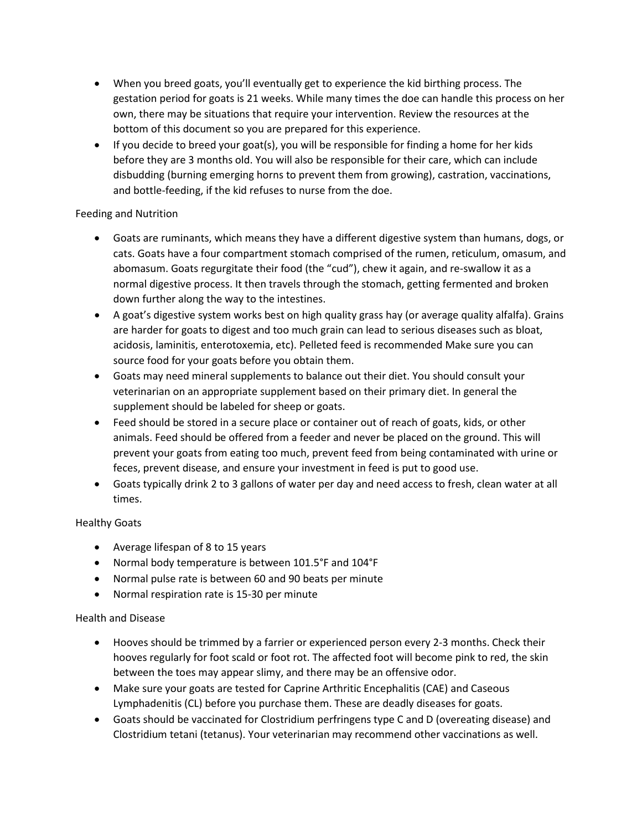- When you breed goats, you'll eventually get to experience the kid birthing process. The gestation period for goats is 21 weeks. While many times the doe can handle this process on her own, there may be situations that require your intervention. Review the resources at the bottom of this document so you are prepared for this experience.
- If you decide to breed your goat(s), you will be responsible for finding a home for her kids before they are 3 months old. You will also be responsible for their care, which can include disbudding (burning emerging horns to prevent them from growing), castration, vaccinations, and bottle-feeding, if the kid refuses to nurse from the doe.

# Feeding and Nutrition

- Goats are ruminants, which means they have a different digestive system than humans, dogs, or cats. Goats have a four compartment stomach comprised of the rumen, reticulum, omasum, and abomasum. Goats regurgitate their food (the "cud"), chew it again, and re-swallow it as a normal digestive process. It then travels through the stomach, getting fermented and broken down further along the way to the intestines.
- A goat's digestive system works best on high quality grass hay (or average quality alfalfa). Grains are harder for goats to digest and too much grain can lead to serious diseases such as bloat, acidosis, laminitis, enterotoxemia, etc). Pelleted feed is recommended Make sure you can source food for your goats before you obtain them.
- Goats may need mineral supplements to balance out their diet. You should consult your veterinarian on an appropriate supplement based on their primary diet. In general the supplement should be labeled for sheep or goats.
- Feed should be stored in a secure place or container out of reach of goats, kids, or other animals. Feed should be offered from a feeder and never be placed on the ground. This will prevent your goats from eating too much, prevent feed from being contaminated with urine or feces, prevent disease, and ensure your investment in feed is put to good use.
- Goats typically drink 2 to 3 gallons of water per day and need access to fresh, clean water at all times.

# Healthy Goats

- Average lifespan of 8 to 15 years
- Normal body temperature is between 101.5°F and 104°F
- Normal pulse rate is between 60 and 90 beats per minute
- Normal respiration rate is 15-30 per minute

# Health and Disease

- Hooves should be trimmed by a farrier or experienced person every 2-3 months. Check their hooves regularly for foot scald or foot rot. The affected foot will become pink to red, the skin between the toes may appear slimy, and there may be an offensive odor.
- Make sure your goats are tested for Caprine Arthritic Encephalitis (CAE) and Caseous Lymphadenitis (CL) before you purchase them. These are deadly diseases for goats.
- Goats should be vaccinated for Clostridium perfringens type C and D (overeating disease) and Clostridium tetani (tetanus). Your veterinarian may recommend other vaccinations as well.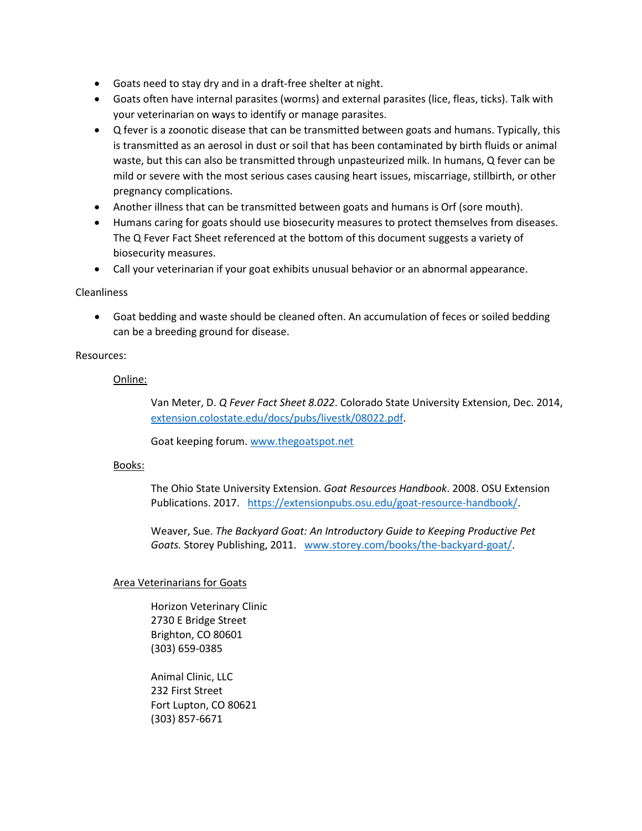- Goats need to stay dry and in a draft-free shelter at night.
- Goats often have internal parasites (worms) and external parasites (lice, fleas, ticks). Talk with your veterinarian on ways to identify or manage parasites.
- Q fever is a zoonotic disease that can be transmitted between goats and humans. Typically, this is transmitted as an aerosol in dust or soil that has been contaminated by birth fluids or animal waste, but this can also be transmitted through unpasteurized milk. In humans, Q fever can be mild or severe with the most serious cases causing heart issues, miscarriage, stillbirth, or other pregnancy complications.
- Another illness that can be transmitted between goats and humans is Orf (sore mouth).
- Humans caring for goats should use biosecurity measures to protect themselves from diseases. The Q Fever Fact Sheet referenced at the bottom of this document suggests a variety of biosecurity measures.
- Call your veterinarian if your goat exhibits unusual behavior or an abnormal appearance.

#### Cleanliness

• Goat bedding and waste should be cleaned often. An accumulation of feces or soiled bedding can be a breeding ground for disease.

#### Resources:

#### Online:

Van Meter, D. *Q Fever Fact Sheet 8.022*. Colorado State University Extension, Dec. 2014, [extension.colostate.edu/docs/pubs/livestk/08022.pdf.](https://extension.colostate.edu/docs/pubs/livestk/08022.pdf)

Goat keeping forum[. www.thegoatspot.net](http://www.thegoatspot.net/)

#### Books:

The Ohio State University Extension. *Goat Resources Handbook*. 2008. OSU Extension Publications. 2017. [https://extensionpubs.osu.edu/goat-resource-handbook/.](https://extensionpubs.osu.edu/goat-resource-handbook/)

Weaver, Sue. *The Backyard Goat: An Introductory Guide to Keeping Productive Pet Goats.* Storey Publishing, 2011. www.storey.com/books/the-backyard-goat/.

#### Area Veterinarians for Goats

Horizon Veterinary Clinic 2730 E Bridge Street Brighton, CO 80601 (303) 659-0385

Animal Clinic, LLC 232 First Street Fort Lupton, CO 80621 (303) 857-6671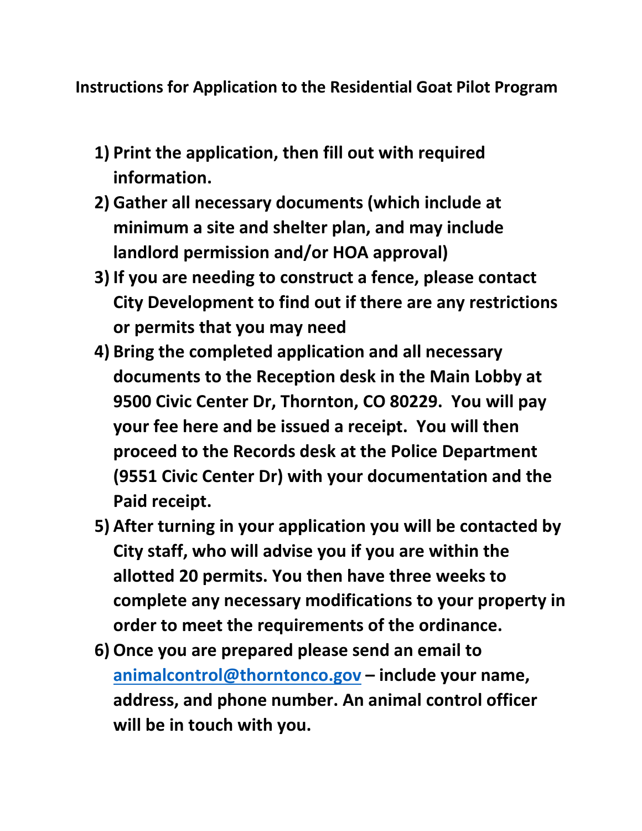**Instructions for Application to the Residential Goat Pilot Program**

- **1) Print the application, then fill out with required information.**
- **2) Gather all necessary documents (which include at minimum a site and shelter plan, and may include landlord permission and/or HOA approval)**
- **3) If you are needing to construct a fence, please contact City Development to find out if there are any restrictions or permits that you may need**
- **4) Bring the completed application and all necessary documents to the Reception desk in the Main Lobby at 9500 Civic Center Dr, Thornton, CO 80229. You will pay your fee here and be issued a receipt. You will then proceed to the Records desk at the Police Department (9551 Civic Center Dr) with your documentation and the Paid receipt.**
- **5) After turning in your application you will be contacted by City staff, who will advise you if you are within the allotted 20 permits. You then have three weeks to complete any necessary modifications to your property in order to meet the requirements of the ordinance.**
- **6) Once you are prepared please send an email to [animalcontrol@thorntonco.gov](mailto:animalcontrol@thorntonco.gov) – include your name, address, and phone number. An animal control officer will be in touch with you.**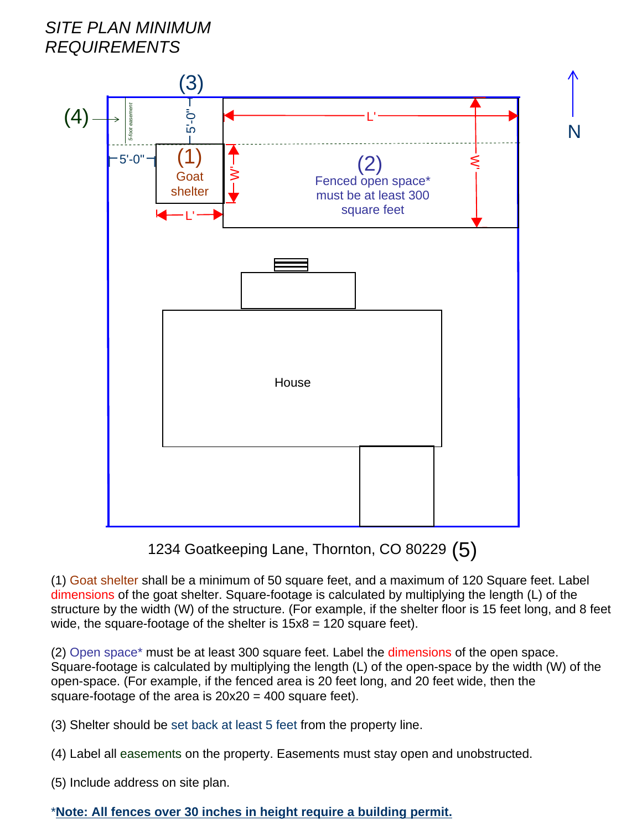# SITE PLAN MINIMUM **REQUIREMENTS**



1234 Goatkeeping Lane, Thornton, CO 80229 (5)

(1) Goat shelter shall be a minimum of 50 square feet, and a maximum of 120 Square feet. Label dimensions of the goat shelter. Square-footage is calculated by multiplying the length (L) of the structure by the width (W) of the structure. (For example, if the shelter floor is 15 feet long, and 8 feet wide, the square-footage of the shelter is  $15x8 = 120$  square feet).

(2) Open space\* must be at least 300 square feet. Label the dimensions of the open space. Square-footage is calculated by multiplying the length (L) of the open-space by the width (W) of the open-space. (For example, if the fenced area is 20 feet long, and 20 feet wide, then the square-footage of the area is  $20x20 = 400$  square feet).

(3) Shelter should be set back at least 5 feet from the property line.

(4) Label all easements on the property. Easements must stay open and unobstructed.

(5) Include address on site plan.

# \*Note: All fences over 30 inches in height require a building permit.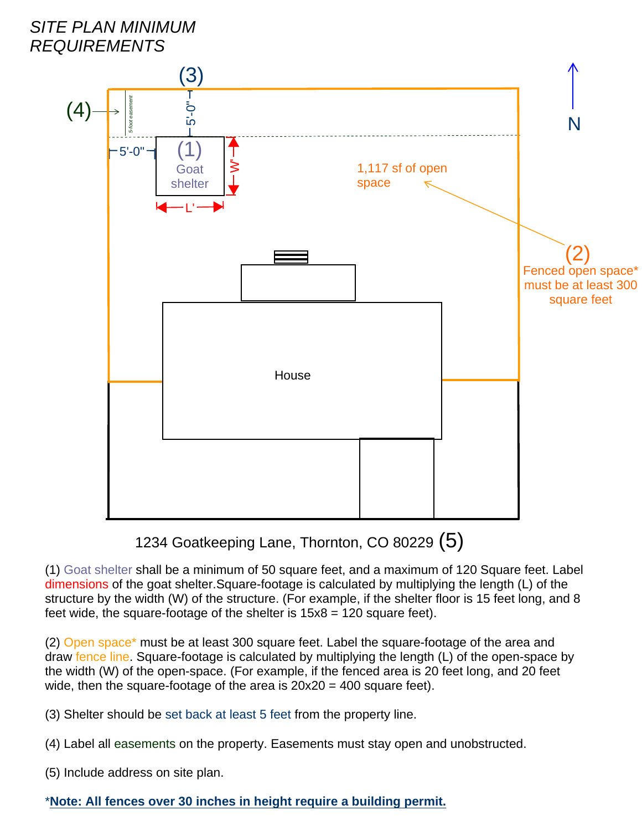

1234 Goatkeeping Lane, Thornton, CO 80229 (5)

(1) Goat shelter shall be a minimum of 50 square feet, and a maximum of 120 Square feet. Label dimensions of the goat shelter. Square-footage is calculated by multiplying the length (L) of the structure by the width (W) of the structure. (For example, if the shelter floor is 15 feet long, and 8 feet wide, the square-footage of the shelter is  $15x8 = 120$  square feet).

(2) Open space\* must be at least 300 square feet. Label the square-footage of the area and draw fence line. Square-footage is calculated by multiplying the length (L) of the open-space by the width (W) of the open-space. (For example, if the fenced area is 20 feet long, and 20 feet wide, then the square-footage of the area is  $20x20 = 400$  square feet).

(3) Shelter should be set back at least 5 feet from the property line.

- (4) Label all easements on the property. Easements must stay open and unobstructed.
- (5) Include address on site plan.

# \*Note: All fences over 30 inches in height require a building permit.